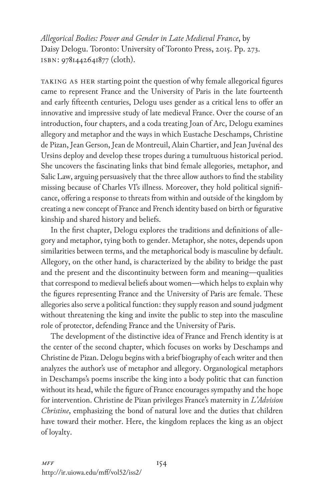*Allegorical Bodies: Power and Gender in Late Medieval France*, by Daisy Delogu. Toronto: University of Toronto Press, 2015. Pp. 273. isbn: 9781442641877 (cloth).

TAKING AS HER starting point the question of why female allegorical figures came to represent France and the University of Paris in the late fourteenth and early fifteenth centuries, Delogu uses gender as a critical lens to offer an innovative and impressive study of late medieval France. Over the course of an introduction, four chapters, and a coda treating Joan of Arc, Delogu examines allegory and metaphor and the ways in which Eustache Deschamps, Christine de Pizan, Jean Gerson, Jean de Montreuil, Alain Chartier, and Jean Juvénal des Ursins deploy and develop these tropes during a tumultuous historical period. She uncovers the fascinating links that bind female allegories, metaphor, and Salic Law, arguing persuasively that the three allow authors to find the stability missing because of Charles VI's illness. Moreover, they hold political significance, offering a response to threats from within and outside of the kingdom by creating a new concept of France and French identity based on birth or figurative kinship and shared history and beliefs.

In the first chapter, Delogu explores the traditions and definitions of allegory and metaphor, tying both to gender. Metaphor, she notes, depends upon similarities between terms, and the metaphorical body is masculine by default. Allegory, on the other hand, is characterized by the ability to bridge the past and the present and the discontinuity between form and meaning—qualities that correspond to medieval beliefs about women—which helps to explain why the figures representing France and the University of Paris are female. These allegories also serve a political function: they supply reason and sound judgment without threatening the king and invite the public to step into the masculine role of protector, defending France and the University of Paris.

The development of the distinctive idea of France and French identity is at the center of the second chapter, which focuses on works by Deschamps and Christine de Pizan. Delogu begins with a brief biography of each writer and then analyzes the author's use of metaphor and allegory. Organological metaphors in Deschamps's poems inscribe the king into a body politic that can function without its head, while the figure of France encourages sympathy and the hope for intervention. Christine de Pizan privileges France's maternity in *L'Advision Christine*, emphasizing the bond of natural love and the duties that children have toward their mother. Here, the kingdom replaces the king as an object of loyalty.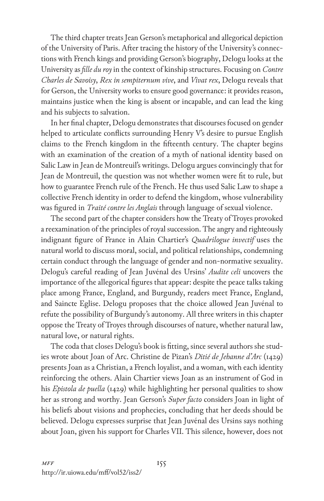The third chapter treats Jean Gerson's metaphorical and allegorical depiction of the University of Paris. After tracing the history of the University's connections with French kings and providing Gerson's biography, Delogu looks at the University as *fille du roy* in the context of kinship structures. Focusing on *Contre Charles de Savoisy*, *Rex in sempiternum vive*, and *Vivat rex*, Delogu reveals that for Gerson, the University works to ensure good governance: it provides reason, maintains justice when the king is absent or incapable, and can lead the king and his subjects to salvation.

In her final chapter, Delogu demonstrates that discourses focused on gender helped to articulate conflicts surrounding Henry V's desire to pursue English claims to the French kingdom in the fifteenth century. The chapter begins with an examination of the creation of a myth of national identity based on Salic Law in Jean de Montreuil's writings. Delogu argues convincingly that for Jean de Montreuil, the question was not whether women were fit to rule, but how to guarantee French rule of the French. He thus used Salic Law to shape a collective French identity in order to defend the kingdom, whose vulnerability was figured in *Traité contre les Anglais* through language of sexual violence.

The second part of the chapter considers how the Treaty of Troyes provoked a reexamination of the principles of royal succession. The angry and righteously indignant figure of France in Alain Chartier's *Quadrilogue invectif* uses the natural world to discuss moral, social, and political relationships, condemning certain conduct through the language of gender and non-normative sexuality. Delogu's careful reading of Jean Juvénal des Ursins' *Audite celi* uncovers the importance of the allegorical figures that appear: despite the peace talks taking place among France, England, and Burgundy, readers meet France, England, and Saincte Eglise. Delogu proposes that the choice allowed Jean Juvénal to refute the possibility of Burgundy's autonomy. All three writers in this chapter oppose the Treaty of Troyes through discourses of nature, whether natural law, natural love, or natural rights.

The coda that closes Delogu's book is fitting, since several authors she studies wrote about Joan of Arc. Christine de Pizan's *Ditié de Jehanne d'Arc* (1429) presents Joan as a Christian, a French loyalist, and a woman, with each identity reinforcing the others. Alain Chartier views Joan as an instrument of God in his *Epistola de puella* (1429) while highlighting her personal qualities to show her as strong and worthy. Jean Gerson's *Super facto* considers Joan in light of his beliefs about visions and prophecies, concluding that her deeds should be believed. Delogu expresses surprise that Jean Juvénal des Ursins says nothing about Joan, given his support for Charles VII. This silence, however, does not